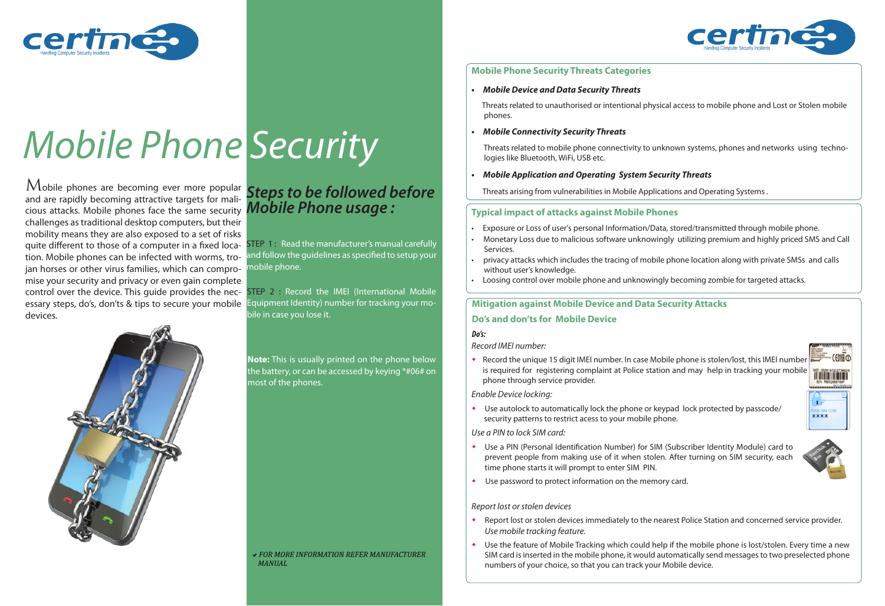## **Mobile Phone Security Threats Categories**

**• Mobile Device and Data Security Threats** 

Threats related to unauthorised or intentional physical access to mobile phone and Lost or Stolen mobile

phones.

 Threats related to mobile phone connectivity to unknown systems, phones and networks using techno logies like Bluetooth, WiFi, USB etc.

Threats arising from vulnerabilities in Mobile Applications and Operating Systems .

**• Mobile Connectivity Security Threats**

#### **• Mobile Application and Operating System Security Threats**

## **Typical impact of attacks against Mobile Phones**

• Exposure or Loss of user's personal Information/Data, stored/transmitted through mobile phone. • Monetary Loss due to malicious software unknowingly utilizing premium and highly priced SMS and Call

• privacy attacks which includes the tracing of mobile phone location along with private SMSs and calls

- 
- Services.
- without user's knowledge.
- 

• Loosing control over mobile phone and unknowingly becoming zombie for targeted attacks.

## **Mitigation against Mobile Device and Data Security Attacks**

*Record IMEI number:*

Use the feature of Mobile Tracking which could help if the mobile phone is lost/stolen. Every time a new SIM card is inserted in the mobile phone, it would automatically send messages to two preselected phone numbers of your choice, so that you can track your Mobile device.





w Record the unique 15 digit IMEI number. In case Mobile phone is stolen/lost, this IMEI number is required for registering complaint at Police station and may help in tracking your mobile

phone through service provider.

### **Do's and don'ts for Mobile Device**

#### *Enable Device locking:*

w Use autolock to automatically lock the phone or keypad lock protected by passcode/

security patterns to restrict acess to your mobile phone.

#### *Use a PIN to lock SIM card:*

and are rapidly becoming attractive targets for main-<br>cious attacks. Mobile phones face the same security **Mobile Phone usage:**  $M$ obile phones are becoming ever more popular and are rapidly becoming attractive targets for malichallenges as traditional desktop computers, but their mobility means they are also exposed to a set of risks quite different to those of a computer in a fixed location. Mobile phones can be infected with worms, trojan horses or other virus families, which can compromise your security and privacy or even gain complete control over the device. This guide provides the necessary steps, do's, don'ts & tips to secure your mobile devices.



STEP 1: Read the manufacturer's manual carefully and follow the guidelines as specified to setup your mobile phone.

> w Use a PIN (Personal Identification Number) for SIM (Subscriber Identity Module) card to prevent people from making use of it when stolen. After turning on SIM security, each

• Use password to protect information on the memory card.

- time phone starts it will prompt to enter SIM PIN.
- 

#### *Report lost or stolen devices*



- *Use mobile tracking feature.*
- 



#### *Do's:*



# *Mobile Phone Security*

**Note:** This is usually printed on the phone below the battery, or can be accessed by keying \*#06# on most of the phones.

## *Steps to be followed before*

a*FOR MORE INFORMATION REFER MANUFACTURER MANUAL*

STEP 2 : Record the IMEI (International Mobile Equipment Identity) number for tracking your mobile in case you lose it.